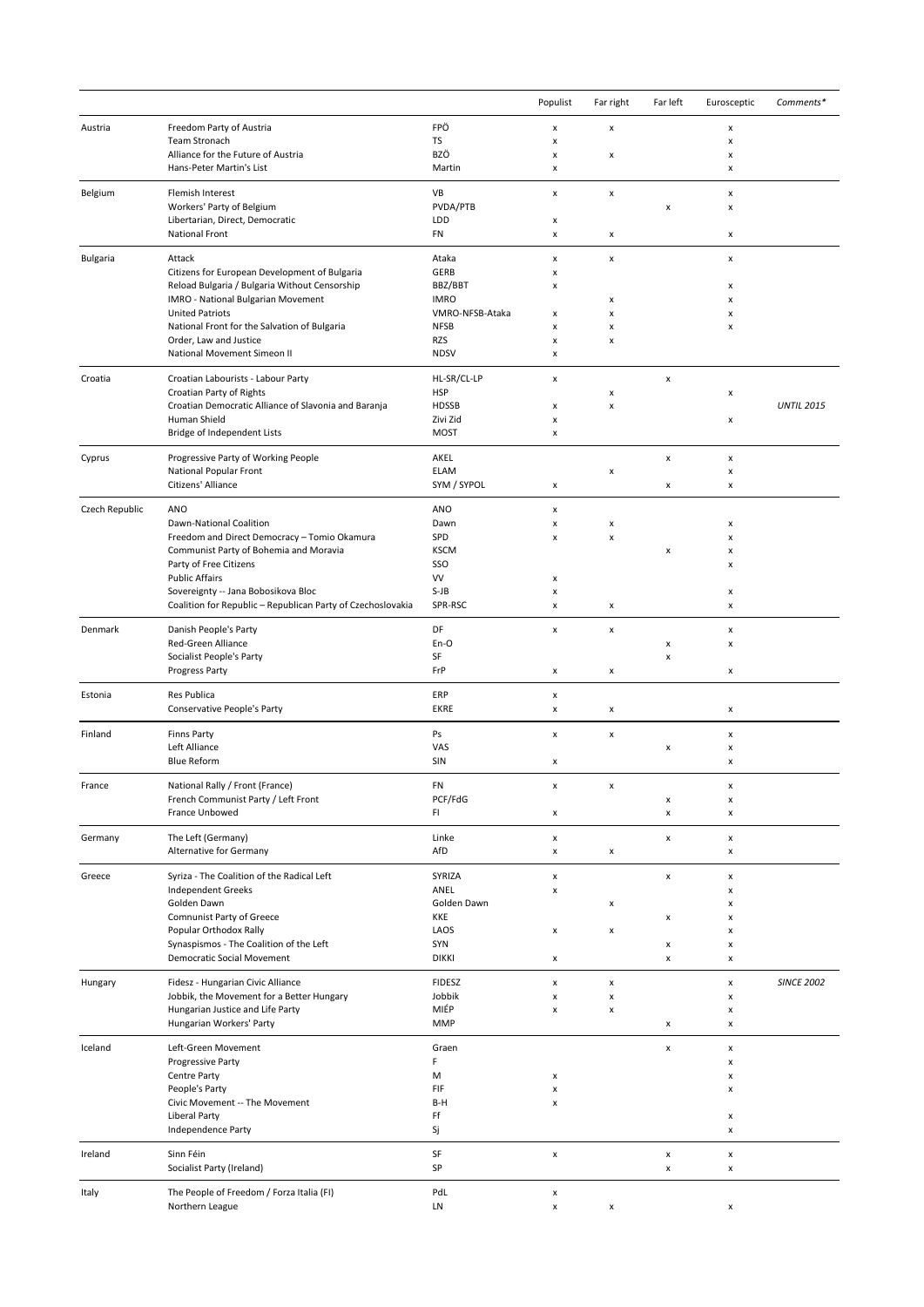|                 |                                                                               |                                | Populist                | Far right               | Far left                         | Eurosceptic             | Comments*         |
|-----------------|-------------------------------------------------------------------------------|--------------------------------|-------------------------|-------------------------|----------------------------------|-------------------------|-------------------|
| Austria         | Freedom Party of Austria                                                      | FPÖ                            | X                       | x                       |                                  | x                       |                   |
|                 | <b>Team Stronach</b><br>Alliance for the Future of Austria                    | TS<br>BZÖ                      | x<br>x                  | x                       |                                  | x<br>x                  |                   |
|                 | Hans-Peter Martin's List                                                      | Martin                         | x                       |                         |                                  | x                       |                   |
| Belgium         | Flemish Interest                                                              | VB                             | x                       | $\pmb{\times}$          |                                  | x                       |                   |
|                 | Workers' Party of Belgium                                                     | PVDA/PTB                       |                         |                         | x                                | x                       |                   |
|                 | Libertarian, Direct, Democratic<br>National Front                             | LDD<br>FN                      | x<br>X                  | x                       |                                  | х                       |                   |
|                 | Attack                                                                        | Ataka                          | x                       | $\pmb{\mathsf{x}}$      |                                  | x                       |                   |
| <b>Bulgaria</b> | Citizens for European Development of Bulgaria                                 | <b>GERB</b>                    | X                       |                         |                                  |                         |                   |
|                 | Reload Bulgaria / Bulgaria Without Censorship                                 | BBZ/BBT                        | X                       |                         |                                  | x                       |                   |
|                 | IMRO - National Bulgarian Movement<br><b>United Patriots</b>                  | <b>IMRO</b><br>VMRO-NFSB-Ataka | x                       | x<br>x                  |                                  | x<br>x                  |                   |
|                 | National Front for the Salvation of Bulgaria                                  | <b>NFSB</b>                    | x                       | x                       |                                  | x                       |                   |
|                 | Order, Law and Justice<br>National Movement Simeon II                         | RZS<br><b>NDSV</b>             | x<br>x                  | x                       |                                  |                         |                   |
| Croatia         | Croatian Labourists - Labour Party                                            | HL-SR/CL-LP                    | x                       |                         | X                                |                         |                   |
|                 | Croatian Party of Rights                                                      | <b>HSP</b>                     |                         | X                       |                                  | x                       |                   |
|                 | Croatian Democratic Alliance of Slavonia and Baranja                          | <b>HDSSB</b>                   | x                       | $\pmb{\mathsf{x}}$      |                                  |                         | <b>UNTIL 2015</b> |
|                 | Human Shield<br>Bridge of Independent Lists                                   | Zivi Zid<br><b>MOST</b>        | x<br>x                  |                         |                                  | х                       |                   |
| Cyprus          | Progressive Party of Working People                                           | AKEL                           |                         |                         | x                                | x                       |                   |
|                 | National Popular Front                                                        | <b>ELAM</b>                    |                         | x                       |                                  | x                       |                   |
|                 | Citizens' Alliance                                                            | SYM / SYPOL                    | X                       |                         | х                                | x                       |                   |
| Czech Republic  | ANO                                                                           | ANO                            | x                       |                         |                                  |                         |                   |
|                 | Dawn-National Coalition<br>Freedom and Direct Democracy - Tomio Okamura       | Dawn<br>SPD                    | X<br>x                  | X<br>x                  |                                  | $\pmb{\times}$<br>x     |                   |
|                 | Communist Party of Bohemia and Moravia                                        | <b>KSCM</b>                    |                         |                         | x                                | x                       |                   |
|                 | Party of Free Citizens                                                        | SSO                            |                         |                         |                                  | x                       |                   |
|                 | <b>Public Affairs</b><br>Sovereignty -- Jana Bobosikova Bloc                  | VV<br>$S-JB$                   | x<br>x                  |                         |                                  | х                       |                   |
|                 | Coalition for Republic - Republican Party of Czechoslovakia                   | SPR-RSC                        | X                       | x                       |                                  | x                       |                   |
| Denmark         | Danish People's Party                                                         | DF                             | x                       | x                       |                                  | x                       |                   |
|                 | Red-Green Alliance                                                            | En-O                           |                         |                         | x                                | х                       |                   |
|                 | Socialist People's Party<br>Progress Party                                    | SF<br>FrP                      | X                       | x                       | X                                | $\pmb{\times}$          |                   |
|                 | Res Publica                                                                   | ERP                            |                         |                         |                                  |                         |                   |
| Estonia         | Conservative People's Party                                                   | <b>EKRE</b>                    | X<br>x                  | $\pmb{\times}$          |                                  | x                       |                   |
| Finland         | <b>Finns Party</b>                                                            | Ps                             | x                       | $\pmb{\mathsf{x}}$      |                                  | x                       |                   |
|                 | Left Alliance                                                                 | VAS                            |                         |                         | X                                | $\pmb{\times}$          |                   |
|                 | <b>Blue Reform</b>                                                            | SIN                            | X                       |                         |                                  | x                       |                   |
| France          | National Rally / Front (France)                                               | FN                             | x                       | $\pmb{\mathsf{x}}$      |                                  | x                       |                   |
|                 | French Communist Party / Left Front<br>France Unbowed                         | PCF/FdG<br>FI.                 | x                       |                         | x<br>$\pmb{\times}$              | x<br>$\pmb{\mathsf{x}}$ |                   |
|                 |                                                                               |                                |                         |                         |                                  |                         |                   |
| Germany         | The Left (Germany)<br>Alternative for Germany                                 | Linke<br>AfD                   | x<br>$\pmb{\mathsf{x}}$ | x                       | $\pmb{\times}$                   | $\pmb{\mathsf{x}}$<br>x |                   |
| Greece          | Syriza - The Coalition of the Radical Left                                    | SYRIZA                         | x                       |                         | x                                | x                       |                   |
|                 | <b>Independent Greeks</b>                                                     | ANEL                           | x                       |                         |                                  | х                       |                   |
|                 | Golden Dawn<br><b>Comnunist Party of Greece</b>                               | Golden Dawn                    |                         | x                       |                                  | x                       |                   |
|                 | Popular Orthodox Rally                                                        | KKE<br>LAOS                    | x                       | x                       | x                                | x<br>x                  |                   |
|                 | Synaspismos - The Coalition of the Left                                       | SYN                            |                         |                         | x                                | x                       |                   |
|                 | Democratic Social Movement                                                    | <b>DIKKI</b>                   | x                       |                         | $\pmb{\mathsf{x}}$               | x                       |                   |
| Hungary         | Fidesz - Hungarian Civic Alliance                                             | <b>FIDESZ</b>                  | $\pmb{\times}$          | $\pmb{\times}$          |                                  | x                       | <b>SINCE 2002</b> |
|                 | Jobbik, the Movement for a Better Hungary<br>Hungarian Justice and Life Party | Jobbik<br>MIÉP                 | X<br>x                  | $\pmb{\mathsf{x}}$<br>x |                                  | x<br>x                  |                   |
|                 | Hungarian Workers' Party                                                      | <b>MMP</b>                     |                         |                         | x                                | x                       |                   |
| Iceland         | Left-Green Movement                                                           | Graen                          |                         |                         | $\pmb{\times}$                   | x                       |                   |
|                 | Progressive Party                                                             | F                              |                         |                         |                                  | x                       |                   |
|                 | Centre Party<br>People's Party                                                | М<br>FIF                       | X<br>x                  |                         |                                  | x<br>x                  |                   |
|                 | Civic Movement -- The Movement                                                | B-H                            | x                       |                         |                                  |                         |                   |
|                 | <b>Liberal Party</b><br>Independence Party                                    | Ff<br>Sj                       |                         |                         |                                  | x<br>$\pmb{\mathsf{x}}$ |                   |
|                 |                                                                               |                                |                         |                         |                                  |                         |                   |
| Ireland         | Sinn Féin<br>Socialist Party (Ireland)                                        | SF<br>SP                       | $\pmb{\mathsf{x}}$      |                         | $\pmb{\times}$<br>$\pmb{\times}$ | $\pmb{\mathsf{x}}$<br>x |                   |
| Italy           | The People of Freedom / Forza Italia (FI)                                     | PdL                            | x                       |                         |                                  |                         |                   |
|                 | Northern League                                                               | LN                             | $\pmb{\times}$          | $\pmb{\mathsf{x}}$      |                                  | x                       |                   |